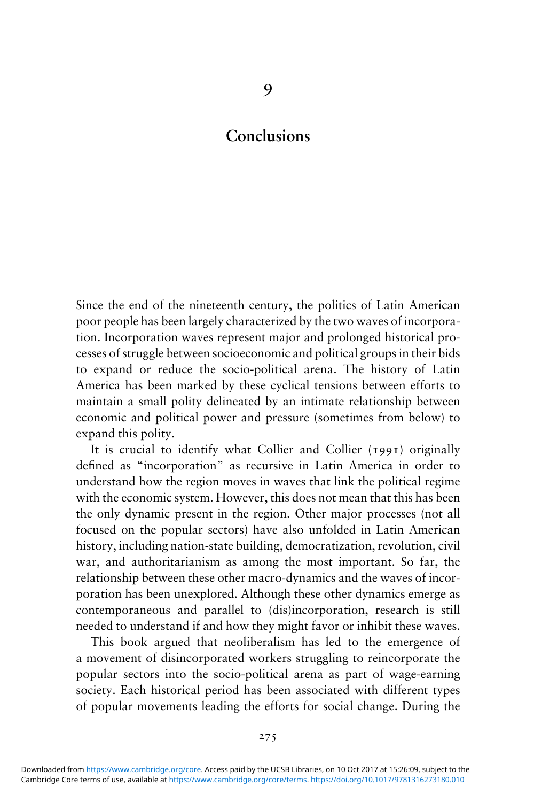## Conclusions

Since the end of the nineteenth century, the politics of Latin American poor people has been largely characterized by the two waves of incorporation. Incorporation waves represent major and prolonged historical processes of struggle between socioeconomic and political groups in their bids to expand or reduce the socio-political arena. The history of Latin America has been marked by these cyclical tensions between efforts to maintain a small polity delineated by an intimate relationship between economic and political power and pressure (sometimes from below) to expand this polity.

It is crucial to identify what Collier and Collier (1991) originally defined as "incorporation" as recursive in Latin America in order to understand how the region moves in waves that link the political regime with the economic system. However, this does not mean that this has been the only dynamic present in the region. Other major processes (not all focused on the popular sectors) have also unfolded in Latin American history, including nation-state building, democratization, revolution, civil war, and authoritarianism as among the most important. So far, the relationship between these other macro-dynamics and the waves of incorporation has been unexplored. Although these other dynamics emerge as contemporaneous and parallel to (dis)incorporation, research is still needed to understand if and how they might favor or inhibit these waves.

This book argued that neoliberalism has led to the emergence of a movement of disincorporated workers struggling to reincorporate the popular sectors into the socio-political arena as part of wage-earning society. Each historical period has been associated with different types of popular movements leading the efforts for social change. During the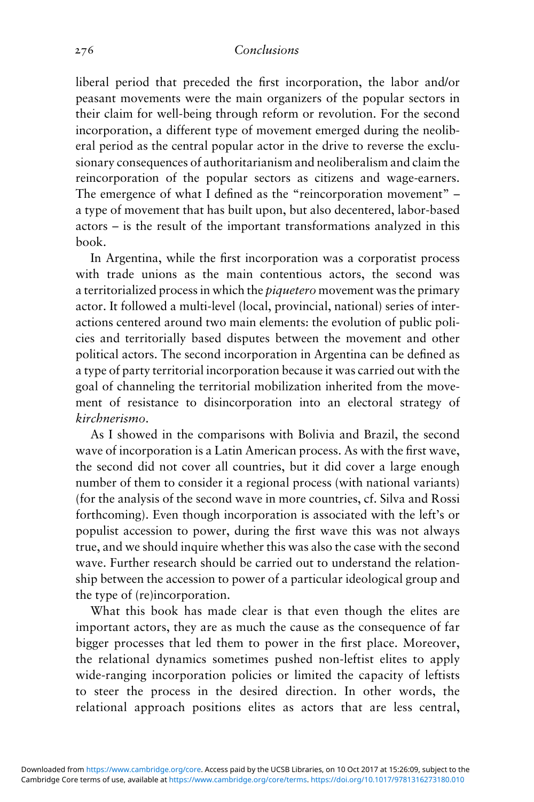liberal period that preceded the first incorporation, the labor and/or peasant movements were the main organizers of the popular sectors in their claim for well-being through reform or revolution. For the second incorporation, a different type of movement emerged during the neoliberal period as the central popular actor in the drive to reverse the exclusionary consequences of authoritarianism and neoliberalism and claim the reincorporation of the popular sectors as citizens and wage-earners. The emergence of what I defined as the "reincorporation movement" – a type of movement that has built upon, but also decentered, labor-based actors – is the result of the important transformations analyzed in this book.

In Argentina, while the first incorporation was a corporatist process with trade unions as the main contentious actors, the second was a territorialized process in which the piquetero movement was the primary actor. It followed a multi-level (local, provincial, national) series of interactions centered around two main elements: the evolution of public policies and territorially based disputes between the movement and other political actors. The second incorporation in Argentina can be defined as a type of party territorial incorporation because it was carried out with the goal of channeling the territorial mobilization inherited from the movement of resistance to disincorporation into an electoral strategy of kirchnerismo.

As I showed in the comparisons with Bolivia and Brazil, the second wave of incorporation is a Latin American process. As with the first wave, the second did not cover all countries, but it did cover a large enough number of them to consider it a regional process (with national variants) (for the analysis of the second wave in more countries, cf. Silva and Rossi forthcoming). Even though incorporation is associated with the left's or populist accession to power, during the first wave this was not always true, and we should inquire whether this was also the case with the second wave. Further research should be carried out to understand the relationship between the accession to power of a particular ideological group and the type of (re)incorporation.

What this book has made clear is that even though the elites are important actors, they are as much the cause as the consequence of far bigger processes that led them to power in the first place. Moreover, the relational dynamics sometimes pushed non-leftist elites to apply wide-ranging incorporation policies or limited the capacity of leftists to steer the process in the desired direction. In other words, the relational approach positions elites as actors that are less central,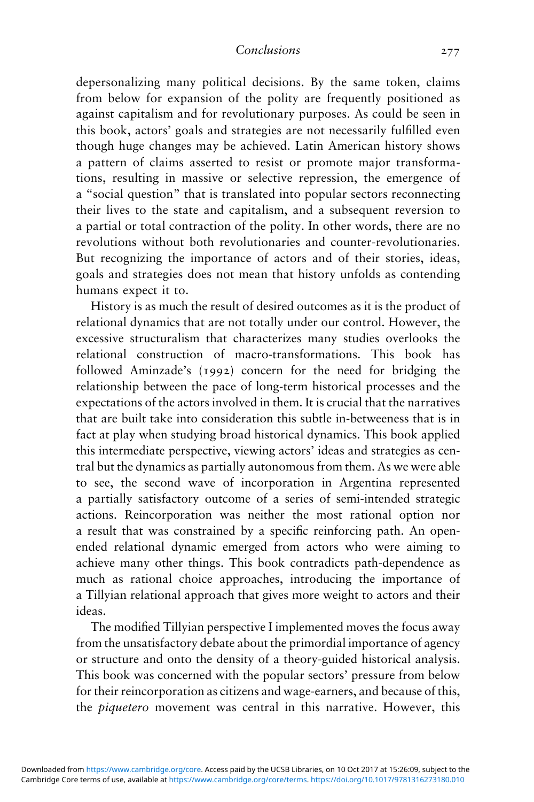depersonalizing many political decisions. By the same token, claims from below for expansion of the polity are frequently positioned as against capitalism and for revolutionary purposes. As could be seen in this book, actors' goals and strategies are not necessarily fulfilled even though huge changes may be achieved. Latin American history shows a pattern of claims asserted to resist or promote major transformations, resulting in massive or selective repression, the emergence of a "social question" that is translated into popular sectors reconnecting their lives to the state and capitalism, and a subsequent reversion to a partial or total contraction of the polity. In other words, there are no revolutions without both revolutionaries and counter-revolutionaries. But recognizing the importance of actors and of their stories, ideas, goals and strategies does not mean that history unfolds as contending humans expect it to.

History is as much the result of desired outcomes as it is the product of relational dynamics that are not totally under our control. However, the excessive structuralism that characterizes many studies overlooks the relational construction of macro-transformations. This book has followed Aminzade's (1992) concern for the need for bridging the relationship between the pace of long-term historical processes and the expectations of the actors involved in them. It is crucial that the narratives that are built take into consideration this subtle in-betweeness that is in fact at play when studying broad historical dynamics. This book applied this intermediate perspective, viewing actors' ideas and strategies as central but the dynamics as partially autonomous from them. As we were able to see, the second wave of incorporation in Argentina represented a partially satisfactory outcome of a series of semi-intended strategic actions. Reincorporation was neither the most rational option nor a result that was constrained by a specific reinforcing path. An openended relational dynamic emerged from actors who were aiming to achieve many other things. This book contradicts path-dependence as much as rational choice approaches, introducing the importance of a Tillyian relational approach that gives more weight to actors and their ideas.

The modified Tillyian perspective I implemented moves the focus away from the unsatisfactory debate about the primordial importance of agency or structure and onto the density of a theory-guided historical analysis. This book was concerned with the popular sectors' pressure from below for their reincorporation as citizens and wage-earners, and because of this, the *piquetero* movement was central in this narrative. However, this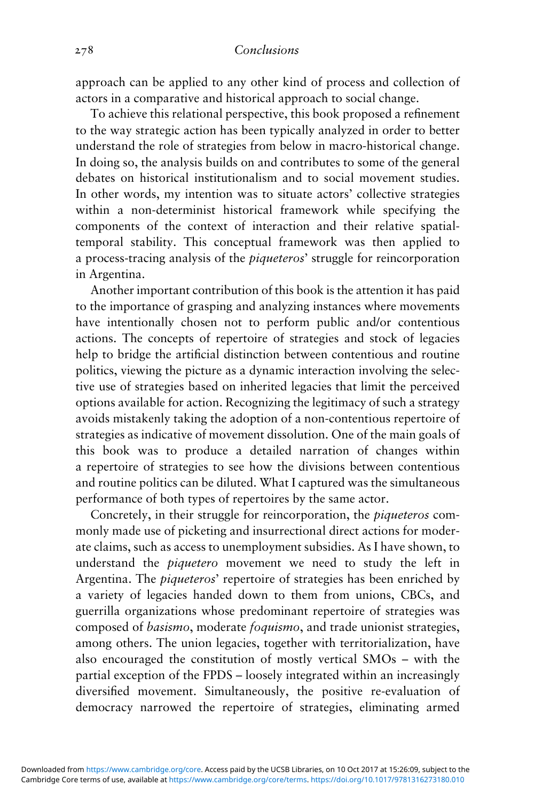approach can be applied to any other kind of process and collection of actors in a comparative and historical approach to social change.

To achieve this relational perspective, this book proposed a refinement to the way strategic action has been typically analyzed in order to better understand the role of strategies from below in macro-historical change. In doing so, the analysis builds on and contributes to some of the general debates on historical institutionalism and to social movement studies. In other words, my intention was to situate actors' collective strategies within a non-determinist historical framework while specifying the components of the context of interaction and their relative spatialtemporal stability. This conceptual framework was then applied to a process-tracing analysis of the piqueteros' struggle for reincorporation in Argentina.

Another important contribution of this book is the attention it has paid to the importance of grasping and analyzing instances where movements have intentionally chosen not to perform public and/or contentious actions. The concepts of repertoire of strategies and stock of legacies help to bridge the artificial distinction between contentious and routine politics, viewing the picture as a dynamic interaction involving the selective use of strategies based on inherited legacies that limit the perceived options available for action. Recognizing the legitimacy of such a strategy avoids mistakenly taking the adoption of a non-contentious repertoire of strategies as indicative of movement dissolution. One of the main goals of this book was to produce a detailed narration of changes within a repertoire of strategies to see how the divisions between contentious and routine politics can be diluted. What I captured was the simultaneous performance of both types of repertoires by the same actor.

Concretely, in their struggle for reincorporation, the piqueteros commonly made use of picketing and insurrectional direct actions for moderate claims, such as access to unemployment subsidies. As I have shown, to understand the piquetero movement we need to study the left in Argentina. The piqueteros' repertoire of strategies has been enriched by a variety of legacies handed down to them from unions, CBCs, and guerrilla organizations whose predominant repertoire of strategies was composed of basismo, moderate foquismo, and trade unionist strategies, among others. The union legacies, together with territorialization, have also encouraged the constitution of mostly vertical SMOs – with the partial exception of the FPDS – loosely integrated within an increasingly diversified movement. Simultaneously, the positive re-evaluation of democracy narrowed the repertoire of strategies, eliminating armed